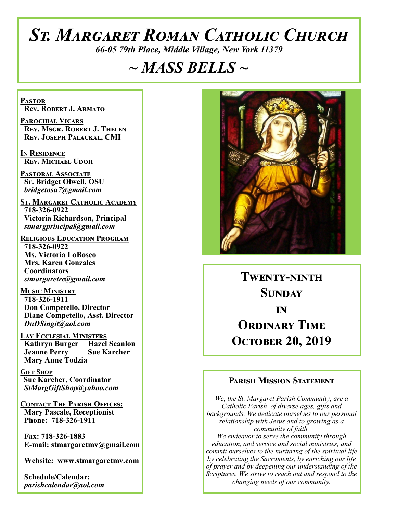# *St. Margaret Roman Catholic Church*

*66-05 79th Place, Middle Village, New York 11379*

# *~ MASS BELLS ~*

**Pastor Rev. Robert J. Armato**

**Parochial Vicars Rev. Msgr. Robert J. Thelen Rev. Joseph Palackal, CMI**

**In Residence Rev. Michael Udoh**

**Pastoral Associate Sr. Bridget Olwell, OSU**  *bridgetosu7@gmail.com*

**St. Margaret Catholic Academy 718-326-0922 Victoria Richardson, Principal**  *stmargprincipal@gmail.com*

**Religious Education Program 718-326-0922 Ms. Victoria LoBosco Mrs. Karen Gonzales Coordinators** *stmargaretre@gmail.com*

**Music Ministry 718-326-1911 Don Competello, Director Diane Competello, Asst. Director** *DnDSingit@aol.com*

**Lay Ecclesial Ministers Kathryn Burger Hazel Scanlon**<br>**Jeanne Perry Sue Karcher Jeanne Perry Mary Anne Todzia**

**Gift Shop Sue Karcher, Coordinator** *StMargGiftShop@yahoo.com*

**Contact The Parish Offices: Mary Pascale, Receptionist Phone: 718-326-1911** 

 **Fax: 718-326-1883 E-mail: stmargaretmv@gmail.com**

 **Website: www.stmargaretmv.com**

 **Schedule/Calendar:** *parishcalendar@aol.com* 



**Twenty-ninth Sunday in ORDINARY TIME October 20, 2019** 

## **Parish Mission Statement**

*We, the St. Margaret Parish Community, are a Catholic Parish of diverse ages, gifts and backgrounds. We dedicate ourselves to our personal relationship with Jesus and to growing as a community of faith. We endeavor to serve the community through education, and service and social ministries, and commit ourselves to the nurturing of the spiritual life by celebrating the Sacraments, by enriching our life of prayer and by deepening our understanding of the Scriptures. We strive to reach out and respond to the changing needs of our community.*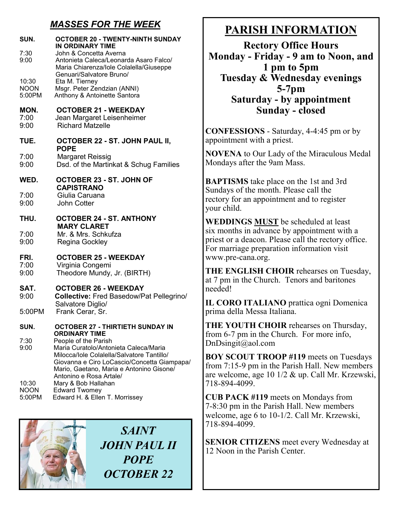# *MASSES FOR THE WEEK*

| SUN.<br>7:30<br>9:00           | <b>OCTOBER 20 - TWENTY-NINTH SUNDAY</b><br><b>IN ORDINARY TIME</b><br>John & Concetta Averna<br>Antonieta Caleca/Leonarda Asaro Falco/<br>Maria Chiarenza/lole Colalella/Giuseppe                                                 |
|--------------------------------|-----------------------------------------------------------------------------------------------------------------------------------------------------------------------------------------------------------------------------------|
| 10:30<br><b>NOON</b><br>5:00PM | Genuari/Salvatore Bruno/<br>Eta M. Tierney<br>Msgr. Peter Zendzian (ANNI)<br>Anthony & Antoinette Santora                                                                                                                         |
| MON.<br>7:00<br>9:00           | <b>OCTOBER 21 - WEEKDAY</b><br>Jean Margaret Leisenheimer<br><b>Richard Matzelle</b>                                                                                                                                              |
| TUE.                           | <b>OCTOBER 22 - ST. JOHN PAUL II,</b><br><b>POPE</b>                                                                                                                                                                              |
| 7:00<br>9:00                   | <b>Margaret Reissig</b><br>Dsd. of the Martinkat & Schug Families                                                                                                                                                                 |
| WED.                           | OCTOBER 23 - ST. JOHN OF<br><b>CAPISTRANO</b>                                                                                                                                                                                     |
| 7:00<br>9:00                   | Giulia Caruana<br><b>John Cotter</b>                                                                                                                                                                                              |
| THU.                           | <b>OCTOBER 24 - ST. ANTHONY</b><br><b>MARY CLARET</b>                                                                                                                                                                             |
| 7:00<br>9:00                   | Mr. & Mrs. Schkufza<br><b>Regina Gockley</b>                                                                                                                                                                                      |
| FRI.<br>7:00<br>9:00           | <b>OCTOBER 25 - WEEKDAY</b><br>Virginia Congemi<br>Theodore Mundy, Jr. (BIRTH)                                                                                                                                                    |
| SAT.<br>9:00                   | <b>OCTOBER 26 - WEEKDAY</b><br><b>Collective: Fred Basedow/Pat Pellegrino/</b><br>Salvatore Diglio/                                                                                                                               |
| 5:00PM                         | Frank Cerar, Sr.                                                                                                                                                                                                                  |
| SUN.                           | <b>OCTOBER 27 - THIRTIETH SUNDAY IN</b><br><b>ORDINARY TIME</b>                                                                                                                                                                   |
| 7:30<br>9:00                   | People of the Parish<br>Maria Curatolo/Antonieta Caleca/Maria<br>Milocca/Iole Colalella/Salvatore Tantillo/<br>Giovanna e Ciro LoCascio/Concetta Giampapa/<br>Mario, Gaetano, Maria e Antonino Gisone/<br>Antonino e Rosa Artale/ |
| 10:30<br><b>NOON</b><br>5:00PM | Mary & Bob Hallahan<br><b>Edward Twomey</b><br>Edward H. & Ellen T. Morrissey                                                                                                                                                     |



# **PARISH INFORMATION**

**Rectory Office Hours Monday - Friday - 9 am to Noon, and 1 pm to 5pm Tuesday & Wednesday evenings 5-7pm Saturday - by appointment Sunday - closed**

**CONFESSIONS** - Saturday, 4-4:45 pm or by appointment with a priest.

**NOVENA** to Our Lady of the Miraculous Medal Mondays after the 9am Mass.

**BAPTISMS** take place on the 1st and 3rd Sundays of the month. Please call the rectory for an appointment and to register your child.

**WEDDINGS MUST** be scheduled at least six months in advance by appointment with a priest or a deacon. Please call the rectory office. For marriage preparation information visit www.pre-cana.org.

**THE ENGLISH CHOIR** rehearses on Tuesday, at 7 pm in the Church. Tenors and baritones needed!

**IL CORO ITALIANO** prattica ogni Domenica prima della Messa Italiana.

**THE YOUTH CHOIR** rehearses on Thursday, from 6-7 pm in the Church. For more info, DnDsingit@aol.com

**BOY SCOUT TROOP #119** meets on Tuesdays from 7:15-9 pm in the Parish Hall. New members are welcome, age 10 1/2 & up. Call Mr. Krzewski, 718-894-4099.

**CUB PACK #119** meets on Mondays from 7-8:30 pm in the Parish Hall. New members welcome, age 6 to 10-1/2. Call Mr. Krzewski, 718-894-4099.

**SENIOR CITIZENS** meet every Wednesday at 12 Noon in the Parish Center.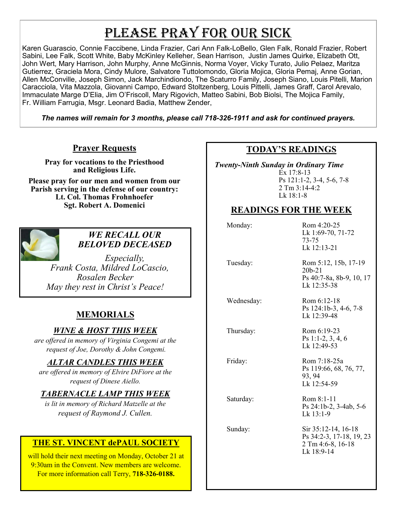# PLEASE PRAY FOR OUR SICK

Karen Guarascio, Connie Faccibene, Linda Frazier, Cari Ann Falk-LoBello, Glen Falk, Ronald Frazier, Robert Sabini, Lee Falk, Scott White, Baby McKinley Kelleher, Sean Harrison, Justin James Quirke, Elizabeth Ott, John Wert, Mary Harrison, John Murphy, Anne McGinnis, Norma Voyer, Vicky Turato, Julio Pelaez, Maritza Gutierrez, Graciela Mora, Cindy Mulore, Salvatore Tuttolomondo, Gloria Mojica, Gloria Pemaj, Anne Gorian, Allen McConville, Joseph Simon, Jack Marchindiondo, The Scaturro Family, Joseph Siano, Louis Pitelli, Marion Caracciola, Vita Mazzola, Giovanni Campo, Edward Stoltzenberg, Louis Pittelli, James Graff, Carol Arevalo, Immaculate Marge D'Elia, Jim O'Friscoll, Mary Rigovich, Matteo Sabini, Bob Biolsi, The Mojica Family, Fr. William Farrugia, Msgr. Leonard Badia, Matthew Zender,

*The names will remain for 3 months, please call 718-326-1911 and ask for continued prayers.*

## **Prayer Requests**

**Pray for vocations to the Priesthood and Religious Life.** 

**Please pray for our men and women from our Parish serving in the defense of our country: Lt. Col. Thomas Frohnhoefer Sgt. Robert A. Domenici** 



### *WE RECALL OUR BELOVED DECEASED*

*Especially, Frank Costa, Mildred LoCascio, Rosalen Becker May they rest in Christ's Peace!*

# **MEMORIALS**

## *WINE & HOST THIS WEEK*

*are offered in memory of Virginia Congemi at the request of Joe, Dorothy & John Congemi.* 

## *ALTAR CANDLES THIS WEEK*

*are offered in memory of Elvire DiFiore at the request of Dinese Aiello.*

## *TABERNACLE LAMP THIS WEEK*

*is lit in memory of Richard Matzelle at the request of Raymond J. Cullen.* 

## **THE ST. VINCENT dePAUL SOCIETY**

will hold their next meeting on Monday, October 21 at 9:30am in the Convent. New members are welcome. For more information call Terry, **718-326-0188.**

## **TODAY'S READINGS**

 *Twenty-Ninth Sunday in Ordinary Time*  Ex 17:8-13 Ps 121:1-2, 3-4, 5-6, 7-8 2 Tm 3:14-4:2 Lk 18:1-8

# **READINGS FOR THE WEEK**

| Monday:    | Rom 4:20-25<br>Lk 1:69-70, 71-72<br>73-75<br>Lk 12:13-21                           |
|------------|------------------------------------------------------------------------------------|
| Tuesday:   | Rom 5:12, 15b, 17-19<br>$20b-21$<br>Ps 40:7-8a, 8b-9, 10, 17<br>Lk 12:35-38        |
| Wednesday: | Rom 6:12-18<br>Ps 124:1b-3, 4-6, 7-8<br>Lk 12:39-48                                |
| Thursday:  | Rom 6:19-23<br>$Ps 1:1-2, 3, 4, 6$<br>Lk 12:49-53                                  |
| Friday:    | Rom 7:18-25a<br>Ps 119:66, 68, 76, 77,<br>93, 94<br>Lk 12:54-59                    |
| Saturday:  | Rom 8:1-11<br>Ps 24:1b-2, 3-4ab, 5-6<br>$Lk$ 13:1-9                                |
| Sunday:    | Sir 35:12-14, 16-18<br>Ps 34:2-3, 17-18, 19, 23<br>2 Tm 4:6-8, 16-18<br>Lk 18:9-14 |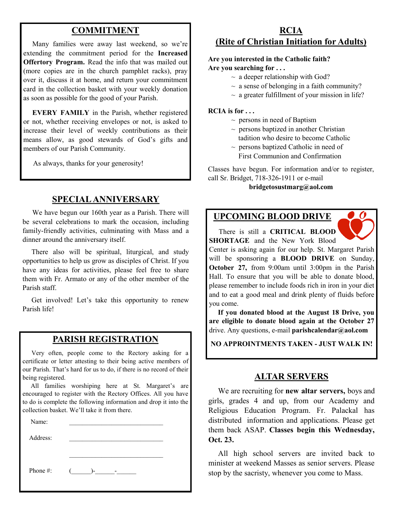# **COMMITMENT**

 Many families were away last weekend, so we're extending the commitment period for the **Increased Offertory Program.** Read the info that was mailed out (more copies are in the church pamphlet racks), pray over it, discuss it at home, and return your commitment card in the collection basket with your weekly donation as soon as possible for the good of your Parish.

 **EVERY FAMILY** in the Parish, whether registered or not, whether receiving envelopes or not, is asked to increase their level of weekly contributions as their means allow, as good stewards of God's gifts and members of our Parish Community.

As always, thanks for your generosity!

## **SPECIAL ANNIVERSARY**

 We have begun our 160th year as a Parish. There will be several celebrations to mark the occasion, including family-friendly activities, culminating with Mass and a dinner around the anniversary itself.

 There also will be spiritual, liturgical, and study opportunities to help us grow as disciples of Christ. If you have any ideas for activities, please feel free to share them with Fr. Armato or any of the other member of the Parish staff.

 Get involved! Let's take this opportunity to renew Parish life!

### **PARISH REGISTRATION**

 Very often, people come to the Rectory asking for a certificate or letter attesting to their being active members of our Parish. That's hard for us to do, if there is no record of their being registered.

 All families worshiping here at St. Margaret's are encouraged to register with the Rectory Offices. All you have to do is complete the following information and drop it into the collection basket. We'll take it from there.

| Name:       |            |  |
|-------------|------------|--|
| Address:    |            |  |
|             |            |  |
|             |            |  |
| Phone $#$ : | $($ )- $-$ |  |
|             |            |  |

### **RCIA (Rite of Christian Initiation for Adults)**

#### **Are you interested in the Catholic faith? Are you searching for . . .**

- $\sim$  a deeper relationship with God?
- $\sim$  a sense of belonging in a faith community?
- $\sim$  a greater fulfillment of your mission in life?

#### **RCIA is for . . .**

- $\sim$  persons in need of Baptism
- $\sim$  persons baptized in another Christian tadition who desire to become Catholic
- $\sim$  persons baptized Catholic in need of First Communion and Confirmation

Classes have begun. For information and/or to register, call Sr. Bridget, 718-326-1911 or e-mail

#### **bridgetosustmarg@aol.com**

#### **UPCOMING BLOOD DRIVE**

 There is still a **CRITICAL BLOOD SHORTAGE** and the New York Blood

Center is asking again for our help. St. Margaret Parish will be sponsoring a **BLOOD DRIVE** on Sunday, **October 27,** from 9:00am until 3:00pm in the Parish Hall. To ensure that you will be able to donate blood, please remember to include foods rich in iron in your diet and to eat a good meal and drink plenty of fluids before you come.

 **If you donated blood at the August 18 Drive, you are eligible to donate blood again at the October 27**  drive. Any questions, e-mail **parishcalendar@aol.com**

**NO APPROINTMENTS TAKEN - JUST WALK IN!**

#### **ALTAR SERVERS**

 We are recruiting for **new altar servers,** boys and girls, grades 4 and up, from our Academy and Religious Education Program. Fr. Palackal has distributed information and applications. Please get them back ASAP. **Classes begin this Wednesday, Oct. 23.** 

 All high school servers are invited back to minister at weekend Masses as senior servers. Please stop by the sacristy, whenever you come to Mass.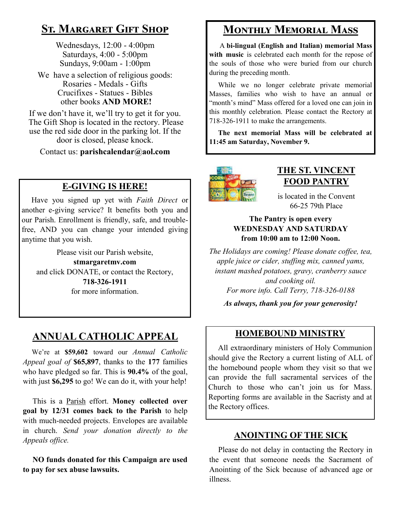# **St. Margaret Gift Shop**

Wednesdays, 12:00 - 4:00pm Saturdays, 4:00 - 5:00pm Sundays, 9:00am - 1:00pm

We have a selection of religious goods: Rosaries - Medals - Gifts Crucifixes - Statues - Bibles other books **AND MORE!**

If we don't have it, we'll try to get it for you. The Gift Shop is located in the rectory. Please use the red side door in the parking lot. If the door is closed, please knock.

Contact us: **parishcalendar@aol.com**

# **E-GIVING IS HERE!**

 Have you signed up yet with *Faith Direct* or another e-giving service? It benefits both you and our Parish. Enrollment is friendly, safe, and troublefree, AND you can change your intended giving anytime that you wish.

Please visit our Parish website,

**stmargaretmv.com** and click DONATE, or contact the Rectory, **718-326-1911** for more information.

# **ANNUAL CATHOLIC APPEAL**

 We're at **\$59,602** toward our *Annual Catholic Appeal goal of* **\$65,897**, thanks to the **177** families who have pledged so far. This is **90.4%** of the goal, with just **\$6,295** to go! We can do it, with your help!

 This is a Parish effort. **Money collected over goal by 12/31 comes back to the Parish** to help with much-needed projects. Envelopes are available in church. *Send your donation directly to the Appeals office.*

 **NO funds donated for this Campaign are used to pay for sex abuse lawsuits.** 

# **Monthly Memorial Mass**

 A **bi-lingual (English and Italian) memorial Mass**  with music is celebrated each month for the repose of the souls of those who were buried from our church during the preceding month.

 While we no longer celebrate private memorial Masses, families who wish to have an annual or "month's mind" Mass offered for a loved one can join in this monthly celebration. Please contact the Rectory at 718-326-1911 to make the arrangements.

 **The next memorial Mass will be celebrated at 11:45 am Saturday, November 9.** 



# **THE ST. VINCENT FOOD PANTRY**

is located in the Convent 66-25 79th Place

### **The Pantry is open every WEDNESDAY AND SATURDAY from 10:00 am to 12:00 Noon.**

*The Holidays are coming! Please donate coffee, tea, apple juice or cider, stuffing mix, canned yams, instant mashed potatoes, gravy, cranberry sauce and cooking oil. For more info. Call Terry, 718-326-0188*

*As always, thank you for your generosity!*

# **HOMEBOUND MINISTRY**

 All extraordinary ministers of Holy Communion should give the Rectory a current listing of ALL of the homebound people whom they visit so that we can provide the full sacramental services of the Church to those who can't join us for Mass. Reporting forms are available in the Sacristy and at the Rectory offices.

## **ANOINTING OF THE SICK**

 Please do not delay in contacting the Rectory in the event that someone needs the Sacrament of Anointing of the Sick because of advanced age or illness.